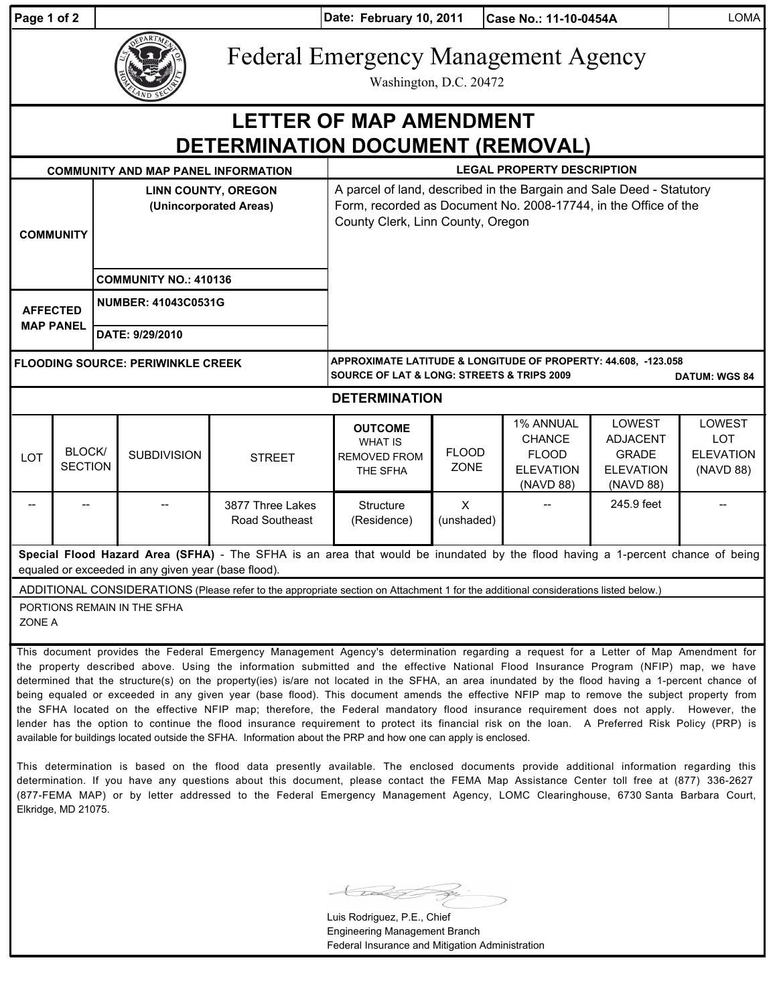| Page 1 of 2                                                                                                                                                                           |                                                                                                                                                                                                                                                                                                                                                                                                                                                                                                                                                                                  | Date: February 10, 2011<br>Case No.: 11-10-0454A     |                    |                                    |                                                                                                                                                                              |                             |                                                                             |                                                                            | <b>LOMA</b>                                           |  |
|---------------------------------------------------------------------------------------------------------------------------------------------------------------------------------------|----------------------------------------------------------------------------------------------------------------------------------------------------------------------------------------------------------------------------------------------------------------------------------------------------------------------------------------------------------------------------------------------------------------------------------------------------------------------------------------------------------------------------------------------------------------------------------|------------------------------------------------------|--------------------|------------------------------------|------------------------------------------------------------------------------------------------------------------------------------------------------------------------------|-----------------------------|-----------------------------------------------------------------------------|----------------------------------------------------------------------------|-------------------------------------------------------|--|
|                                                                                                                                                                                       |                                                                                                                                                                                                                                                                                                                                                                                                                                                                                                                                                                                  |                                                      |                    |                                    | <b>Federal Emergency Management Agency</b><br>Washington, D.C. 20472                                                                                                         |                             |                                                                             |                                                                            |                                                       |  |
| <b>LETTER OF MAP AMENDMENT</b><br>DETERMINATION DOCUMENT (REMOVAL)                                                                                                                    |                                                                                                                                                                                                                                                                                                                                                                                                                                                                                                                                                                                  |                                                      |                    |                                    |                                                                                                                                                                              |                             |                                                                             |                                                                            |                                                       |  |
| <b>COMMUNITY AND MAP PANEL INFORMATION</b>                                                                                                                                            |                                                                                                                                                                                                                                                                                                                                                                                                                                                                                                                                                                                  |                                                      |                    |                                    | <b>LEGAL PROPERTY DESCRIPTION</b>                                                                                                                                            |                             |                                                                             |                                                                            |                                                       |  |
| <b>COMMUNITY</b>                                                                                                                                                                      |                                                                                                                                                                                                                                                                                                                                                                                                                                                                                                                                                                                  | <b>LINN COUNTY, OREGON</b><br>(Unincorporated Areas) |                    |                                    | A parcel of land, described in the Bargain and Sale Deed - Statutory<br>Form, recorded as Document No. 2008-17744, in the Office of the<br>County Clerk, Linn County, Oregon |                             |                                                                             |                                                                            |                                                       |  |
|                                                                                                                                                                                       |                                                                                                                                                                                                                                                                                                                                                                                                                                                                                                                                                                                  | <b>COMMUNITY NO.: 410136</b>                         |                    |                                    |                                                                                                                                                                              |                             |                                                                             |                                                                            |                                                       |  |
| <b>AFFECTED</b><br><b>MAP PANEL</b>                                                                                                                                                   |                                                                                                                                                                                                                                                                                                                                                                                                                                                                                                                                                                                  | <b>NUMBER: 41043C0531G</b>                           |                    |                                    |                                                                                                                                                                              |                             |                                                                             |                                                                            |                                                       |  |
|                                                                                                                                                                                       |                                                                                                                                                                                                                                                                                                                                                                                                                                                                                                                                                                                  | DATE: 9/29/2010                                      |                    |                                    |                                                                                                                                                                              |                             |                                                                             |                                                                            |                                                       |  |
| <b>FLOODING SOURCE: PERIWINKLE CREEK</b>                                                                                                                                              |                                                                                                                                                                                                                                                                                                                                                                                                                                                                                                                                                                                  |                                                      |                    |                                    | APPROXIMATE LATITUDE & LONGITUDE OF PROPERTY: 44.608, -123.058<br><b>SOURCE OF LAT &amp; LONG: STREETS &amp; TRIPS 2009</b><br><b>DATUM: WGS 84</b>                          |                             |                                                                             |                                                                            |                                                       |  |
| <b>DETERMINATION</b>                                                                                                                                                                  |                                                                                                                                                                                                                                                                                                                                                                                                                                                                                                                                                                                  |                                                      |                    |                                    |                                                                                                                                                                              |                             |                                                                             |                                                                            |                                                       |  |
| LOT                                                                                                                                                                                   | BLOCK/<br><b>SECTION</b>                                                                                                                                                                                                                                                                                                                                                                                                                                                                                                                                                         |                                                      | <b>SUBDIVISION</b> | <b>STREET</b>                      | <b>OUTCOME</b><br><b>WHAT IS</b><br><b>REMOVED FROM</b><br>THE SFHA                                                                                                          | <b>FLOOD</b><br><b>ZONE</b> | 1% ANNUAL<br><b>CHANCE</b><br><b>FLOOD</b><br><b>ELEVATION</b><br>(NAVD 88) | LOWEST<br><b>ADJACENT</b><br><b>GRADE</b><br><b>ELEVATION</b><br>(NAVD 88) | LOWEST<br><b>LOT</b><br><b>ELEVATION</b><br>(NAVD 88) |  |
|                                                                                                                                                                                       |                                                                                                                                                                                                                                                                                                                                                                                                                                                                                                                                                                                  |                                                      |                    | 3877 Three Lakes<br>Road Southeast | Structure<br>(Residence)                                                                                                                                                     | $\sf X$<br>(unshaded)       |                                                                             | 245.9 feet                                                                 |                                                       |  |
| Special Flood Hazard Area (SFHA) - The SFHA is an area that would be inundated by the flood having a 1-percent chance of being<br>equaled or exceeded in any given year (base flood). |                                                                                                                                                                                                                                                                                                                                                                                                                                                                                                                                                                                  |                                                      |                    |                                    |                                                                                                                                                                              |                             |                                                                             |                                                                            |                                                       |  |
| ADDITIONAL CONSIDERATIONS (Please refer to the appropriate section on Attachment 1 for the additional considerations listed below.)                                                   |                                                                                                                                                                                                                                                                                                                                                                                                                                                                                                                                                                                  |                                                      |                    |                                    |                                                                                                                                                                              |                             |                                                                             |                                                                            |                                                       |  |
| PORTIONS REMAIN IN THE SFHA<br>ZONE A                                                                                                                                                 |                                                                                                                                                                                                                                                                                                                                                                                                                                                                                                                                                                                  |                                                      |                    |                                    |                                                                                                                                                                              |                             |                                                                             |                                                                            |                                                       |  |
|                                                                                                                                                                                       | This document provides the Federal Emergency Management Agency's determination regarding a request for a Letter of Map Amendment for<br>the property described above. Using the information submitted and the effective National Flood Insurance Program (NFIP) map, we have<br>determined that the structure(s) on the property(ies) is/are not located in the SFHA, an area inundated by the flood having a 1-percent chance of<br>being equaled or exceeded in any given year (base flood). This document amends the effective NFIP map to remove the subject property from I |                                                      |                    |                                    |                                                                                                                                                                              |                             |                                                                             |                                                                            |                                                       |  |

being equaled or exceeded in any given year (base flood). This document amends the effective NFIP map to remove the subject property from the SFHA located on the effective NFIP map; therefore, the Federal mandatory flood insurance requirement does not apply. However, the lender has the option to continue the flood insurance requirement to protect its financial risk on the loan. A Preferred Risk Policy (PRP) is available for buildings located outside the SFHA. Information about the PRP and how one can apply is enclosed.

This determination is based on the flood data presently available. The enclosed documents provide additional information regarding this determination. If you have any questions about this document, please contact the FEMA Map Assistance Center toll free at (877) 336-2627 (877-FEMA MAP) or by letter addressed to the Federal Emergency Management Agency, LOMC Clearinghouse, 6730 Santa Barbara Court, Elkridge, MD 21075.

Luis Rodriguez, P.E., Chief Engineering Management Branch Federal Insurance and Mitigation Administration